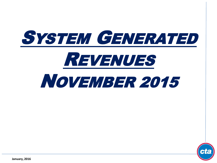



**January, 2016**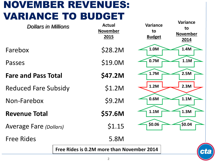# NOVEMBER REVENUES: VARIANCE TO BUDGET

| <b>Dollars in Millions</b>    |  | <b>Actual</b><br><b>November</b><br>2015   | <b>Variance</b><br>to<br><b>Budget</b> | <b>Variance</b><br>to<br><b>November</b><br>2014 |
|-------------------------------|--|--------------------------------------------|----------------------------------------|--------------------------------------------------|
| Farebox                       |  | \$28.2M                                    | 1.0M                                   | 1.4M                                             |
| Passes                        |  | \$19.0M                                    | 0.7M                                   | 1.1M                                             |
| <b>Fare and Pass Total</b>    |  | \$47.2M                                    | 1.7M                                   | 2.5M                                             |
| <b>Reduced Fare Subsidy</b>   |  | \$1.2M                                     | 1.2M                                   | 2.3M                                             |
| Non-Farebox                   |  | \$9.2M                                     | 0.6M                                   | 1.1M                                             |
| <b>Revenue Total</b>          |  | \$57.6M                                    | 1.1M                                   | 1.3M                                             |
| <b>Average Fare (Dollars)</b> |  | \$1.15                                     | \$0.06                                 | \$0.04                                           |
| <b>Free Rides</b>             |  | 5.8M                                       |                                        |                                                  |
|                               |  | Free Rides is 0.2M more than November 2014 |                                        | ct                                               |
|                               |  |                                            |                                        |                                                  |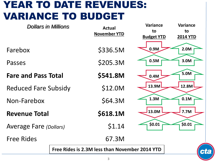## YEAR TO DATE REVENUES: VARIANCE TO BUDGET

| <b>Dollars in Millions</b>                     |  | <b>Actual</b>       | <b>Variance</b>   | Variance        |
|------------------------------------------------|--|---------------------|-------------------|-----------------|
|                                                |  | <b>November YTD</b> | to                | to              |
|                                                |  |                     | <b>Budget YTD</b> | <b>2014 YTD</b> |
|                                                |  |                     |                   |                 |
| Farebox                                        |  | \$336.5M            | 0.9M              | 2.0M            |
| Passes                                         |  | \$205.3M            | 0.5M              | 3.0M            |
|                                                |  |                     |                   |                 |
| <b>Fare and Pass Total</b>                     |  | \$541.8M            | 0.4M              | 5.0M            |
|                                                |  |                     | 13.9M             | 12.8M           |
| <b>Reduced Fare Subsidy</b>                    |  | \$12.0M             |                   |                 |
| Non-Farebox                                    |  | \$64.3M             | 1.3M              | 0.1M            |
|                                                |  |                     |                   |                 |
| <b>Revenue Total</b>                           |  | \$618.1M            | 13.0M             | 7.7M            |
|                                                |  | \$1.14              | \$0.01            | \$0.01          |
| <b>Average Fare (Dollars)</b>                  |  |                     |                   |                 |
| <b>Free Rides</b>                              |  | 67.3M               |                   |                 |
| Free Rides is 2.3M less than November 2014 YTD |  |                     |                   |                 |
|                                                |  |                     |                   | ct              |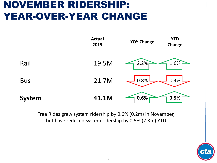### NOVEMBER RIDERSHIP: YEAR-OVER-YEAR CHANGE



Free Rides grew system ridership by 0.6% (0.2m) in November, but have reduced system ridership by 0.5% (2.3m) YTD.

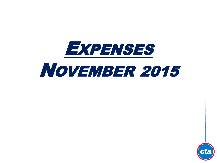

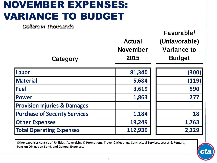# NOVEMBER EXPENSES: VARIANCE TO BUDGET

*Dollars in Thousands*

| <b>Category</b>                         | <b>Actual</b><br><b>November</b><br>2015 | Favorable/<br>(Unfavorable)<br><b>Variance to</b><br><b>Budget</b> |
|-----------------------------------------|------------------------------------------|--------------------------------------------------------------------|
| Labor                                   | 81,340                                   | (300)                                                              |
| <b>Material</b>                         | 5,684                                    | (119)                                                              |
| <b>Fuel</b>                             | 3,619                                    | 590                                                                |
| <b>Power</b>                            | 1,863                                    | 277                                                                |
| <b>Provision Injuries &amp; Damages</b> |                                          |                                                                    |
| <b>Purchase of Security Services</b>    | 1,184                                    | 18                                                                 |
| <b>Other Expenses</b>                   | 19,249                                   | 1,763                                                              |
| <b>Total Operating Expenses</b>         | 112,939                                  | 2,229                                                              |

**Other expenses consist of: Utilities, Advertising & Promotions, Travel & Meetings, Contractual Services, Leases & Rentals, Pension Obligation Bond, and General Expenses.**